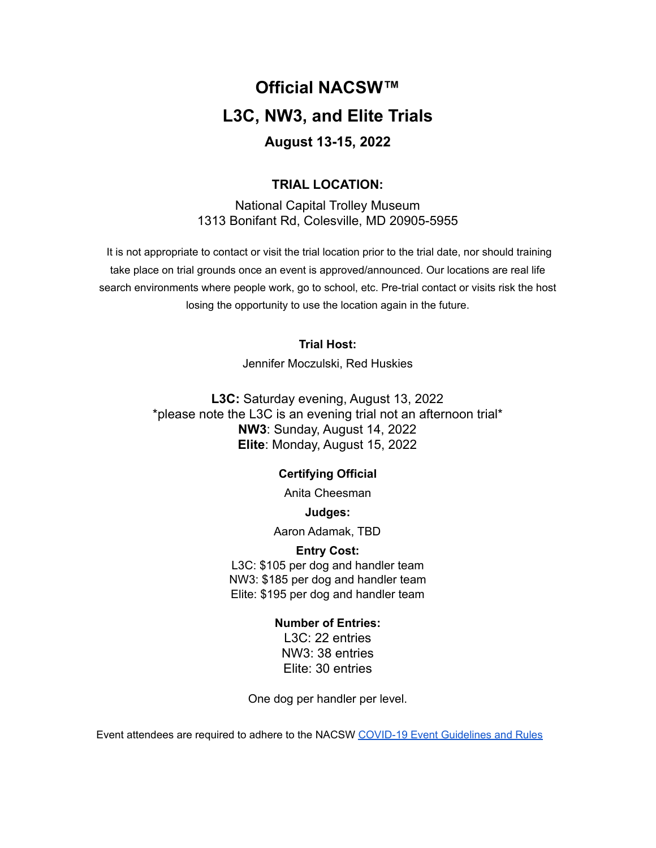# **Official NACSW™ L3C, NW3, and Elite Trials August 13-15, 2022**

# **TRIAL LOCATION:**

National Capital Trolley Museum 1313 Bonifant Rd, Colesville, MD 20905-5955

It is not appropriate to contact or visit the trial location prior to the trial date, nor should training take place on trial grounds once an event is approved/announced. Our locations are real life search environments where people work, go to school, etc. Pre-trial contact or visits risk the host losing the opportunity to use the location again in the future.

# **Trial Host:**

Jennifer Moczulski, Red Huskies

**L3C:** Saturday evening, August 13, 2022 \*please note the L3C is an evening trial not an afternoon trial\* **NW3**: Sunday, August 14, 2022 **Elite**: Monday, August 15, 2022

# **Certifying Official**

Anita Cheesman

**Judges:**

Aaron Adamak, TBD

# **Entry Cost:**

L3C: \$105 per dog and handler team NW3: \$185 per dog and handler team Elite: \$195 per dog and handler team

# **Number of Entries:**

L3C: 22 entries NW3: 38 entries Elite: 30 entries

One dog per handler per level.

Event attendees are required to adhere to the NACSW COVID-19 Event [Guidelines](https://drive.google.com/open?id=1pMMICXeMDJV2iFxAFOuPAMXEBoRmaik0qzSE4tiZuSI) and Rules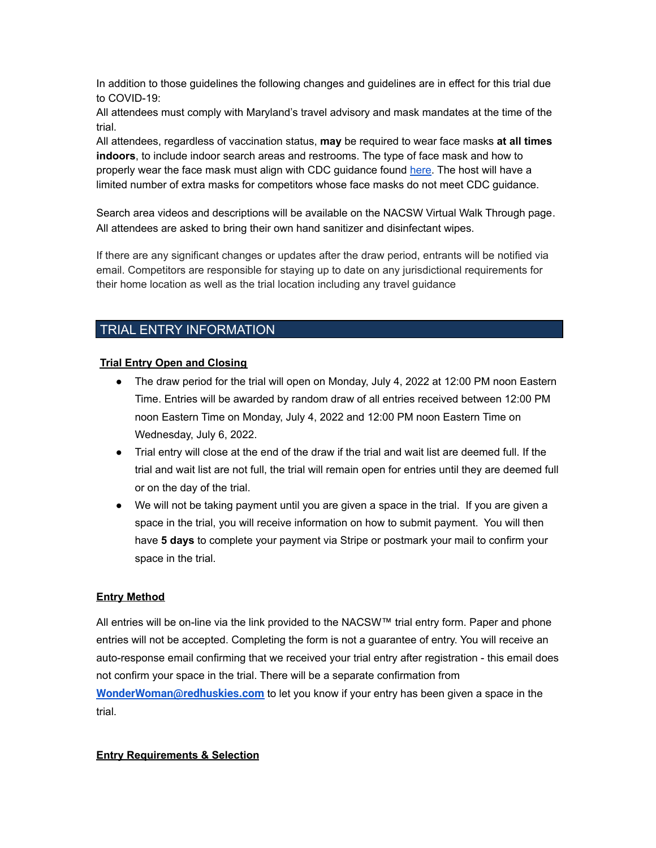In addition to those guidelines the following changes and guidelines are in effect for this trial due to COVID-19:

All attendees must comply with Maryland's travel advisory and mask mandates at the time of the trial.

All attendees, regardless of vaccination status, **may** be required to wear face masks **at all times indoors**, to include indoor search areas and restrooms. The type of face mask and how to properly wear the face mask must align with CDC guidance found [here.](https://www.cdc.gov/coronavirus/2019-ncov/prevent-getting-sick/about-face-coverings.html) The host will have a limited number of extra masks for competitors whose face masks do not meet CDC guidance.

Search area videos and descriptions will be available on the NACSW Virtual Walk Through page. All attendees are asked to bring their own hand sanitizer and disinfectant wipes.

If there are any significant changes or updates after the draw period, entrants will be notified via email. Competitors are responsible for staying up to date on any jurisdictional requirements for their home location as well as the trial location including any travel guidance

# TRIAL ENTRY INFORMATION

## **Trial Entry Open and Closing**

- The draw period for the trial will open on Monday, July 4, 2022 at 12:00 PM noon Eastern Time. Entries will be awarded by random draw of all entries received between 12:00 PM noon Eastern Time on Monday, July 4, 2022 and 12:00 PM noon Eastern Time on Wednesday, July 6, 2022.
- Trial entry will close at the end of the draw if the trial and wait list are deemed full. If the trial and wait list are not full, the trial will remain open for entries until they are deemed full or on the day of the trial.
- We will not be taking payment until you are given a space in the trial. If you are given a space in the trial, you will receive information on how to submit payment. You will then have **5 days** to complete your payment via Stripe or postmark your mail to confirm your space in the trial.

## **Entry Method**

All entries will be on-line via the link provided to the NACSW™ trial entry form. Paper and phone entries will not be accepted. Completing the form is not a guarantee of entry. You will receive an auto-response email confirming that we received your trial entry after registration - this email does not confirm your space in the trial. There will be a separate confirmation from **[WonderWoman@redhuskies.com](mailto:WonderWoman@redhuskies.com)** to let you know if your entry has been given a space in the trial.

#### **Entry Requirements & Selection**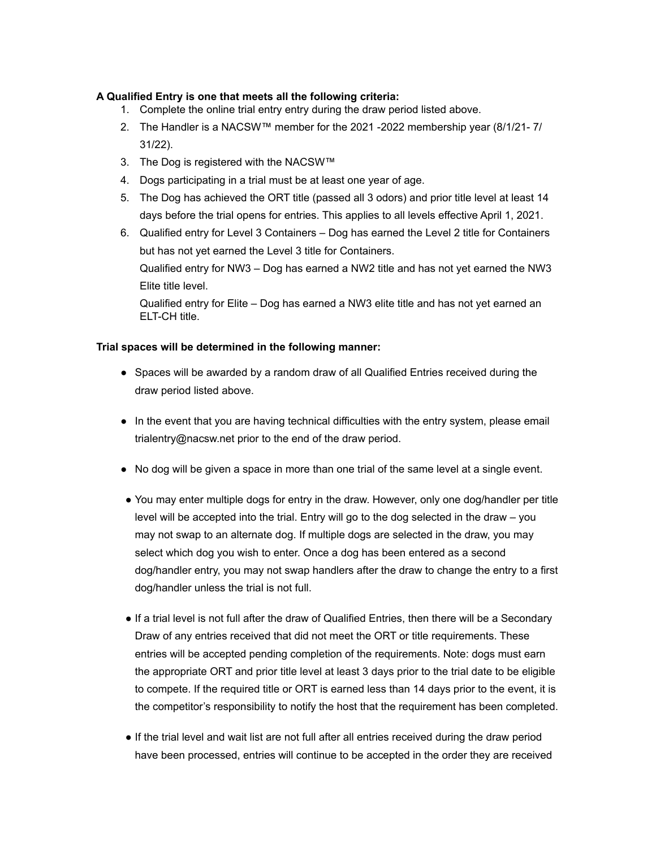## **A Qualified Entry is one that meets all the following criteria:**

- 1. Complete the online trial entry entry during the draw period listed above.
- 2. The Handler is a NACSW™ member for the 2021 -2022 membership year (8/1/21- 7/ 31/22).
- 3. The Dog is registered with the NACSW™
- 4. Dogs participating in a trial must be at least one year of age.
- 5. The Dog has achieved the ORT title (passed all 3 odors) and prior title level at least 14 days before the trial opens for entries. This applies to all levels effective April 1, 2021.
- 6. Qualified entry for Level 3 Containers Dog has earned the Level 2 title for Containers but has not yet earned the Level 3 title for Containers. Qualified entry for NW3 – Dog has earned a NW2 title and has not yet earned the NW3

Elite title level.

Qualified entry for Elite – Dog has earned a NW3 elite title and has not yet earned an ELT-CH title.

## **Trial spaces will be determined in the following manner:**

- Spaces will be awarded by a random draw of all Qualified Entries received during the draw period listed above.
- In the event that you are having technical difficulties with the entry system, please email [trialentry@nacsw.net](mailto:trialentry@nacsw.net) prior to the end of the draw period.
- No dog will be given a space in more than one trial of the same level at a single event.
- You may enter multiple dogs for entry in the draw. However, only one dog/handler per title level will be accepted into the trial. Entry will go to the dog selected in the draw – you may not swap to an alternate dog. If multiple dogs are selected in the draw, you may select which dog you wish to enter. Once a dog has been entered as a second dog/handler entry, you may not swap handlers after the draw to change the entry to a first dog/handler unless the trial is not full.
- If a trial level is not full after the draw of Qualified Entries, then there will be a Secondary Draw of any entries received that did not meet the ORT or title requirements. These entries will be accepted pending completion of the requirements. Note: dogs must earn the appropriate ORT and prior title level at least 3 days prior to the trial date to be eligible to compete. If the required title or ORT is earned less than 14 days prior to the event, it is the competitor's responsibility to notify the host that the requirement has been completed.
- If the trial level and wait list are not full after all entries received during the draw period have been processed, entries will continue to be accepted in the order they are received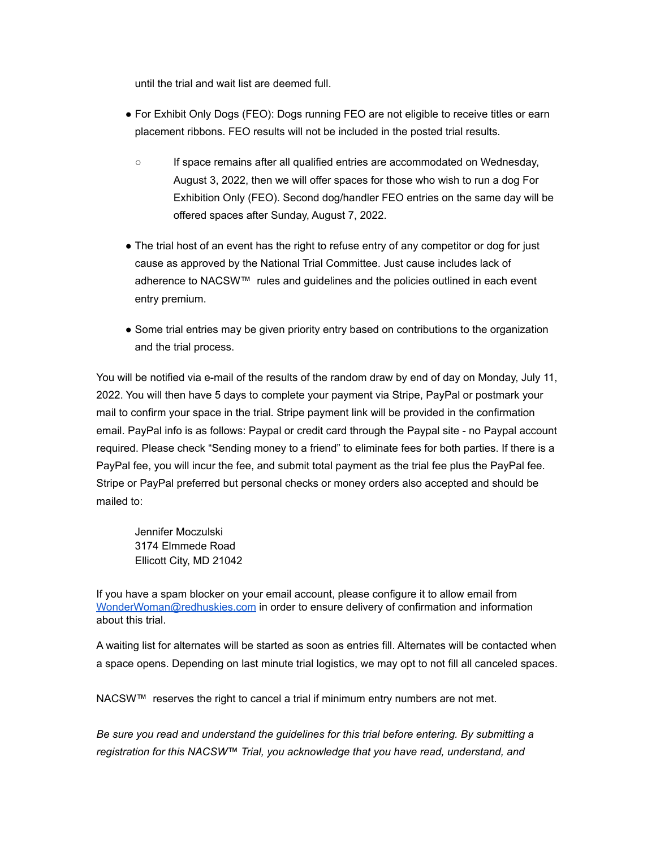until the trial and wait list are deemed full.

- For Exhibit Only Dogs (FEO): Dogs running FEO are not eligible to receive titles or earn placement ribbons. FEO results will not be included in the posted trial results.
	- If space remains after all qualified entries are accommodated on Wednesday, August 3, 2022, then we will offer spaces for those who wish to run a dog For Exhibition Only (FEO). Second dog/handler FEO entries on the same day will be offered spaces after Sunday, August 7, 2022.
- The trial host of an event has the right to refuse entry of any competitor or dog for just cause as approved by the National Trial Committee. Just cause includes lack of adherence to NACSW™ rules and guidelines and the policies outlined in each event entry premium.
- Some trial entries may be given priority entry based on contributions to the organization and the trial process.

You will be notified via e-mail of the results of the random draw by end of day on Monday, July 11, 2022. You will then have 5 days to complete your payment via Stripe, PayPal or postmark your mail to confirm your space in the trial. Stripe payment link will be provided in the confirmation email. PayPal info is as follows: Paypal or credit card through the Paypal site - no Paypal account required. Please check "Sending money to a friend" to eliminate fees for both parties. If there is a PayPal fee, you will incur the fee, and submit total payment as the trial fee plus the PayPal fee. Stripe or PayPal preferred but personal checks or money orders also accepted and should be mailed to:

Jennifer Moczulski 3174 Elmmede Road Ellicott City, MD 21042

If you have a spam blocker on your email account, please configure it to allow email from [WonderWoman@redhuskies.com](mailto:WonderWoman@redhuskies.com) in order to ensure delivery of confirmation and information about this trial.

A waiting list for alternates will be started as soon as entries fill. Alternates will be contacted when a space opens. Depending on last minute trial logistics, we may opt to not fill all canceled spaces.

NACSW™ reserves the right to cancel a trial if minimum entry numbers are not met.

*Be sure you read and understand the guidelines for this trial before entering. By submitting a registration for this NACSW™ Trial, you acknowledge that you have read, understand, and*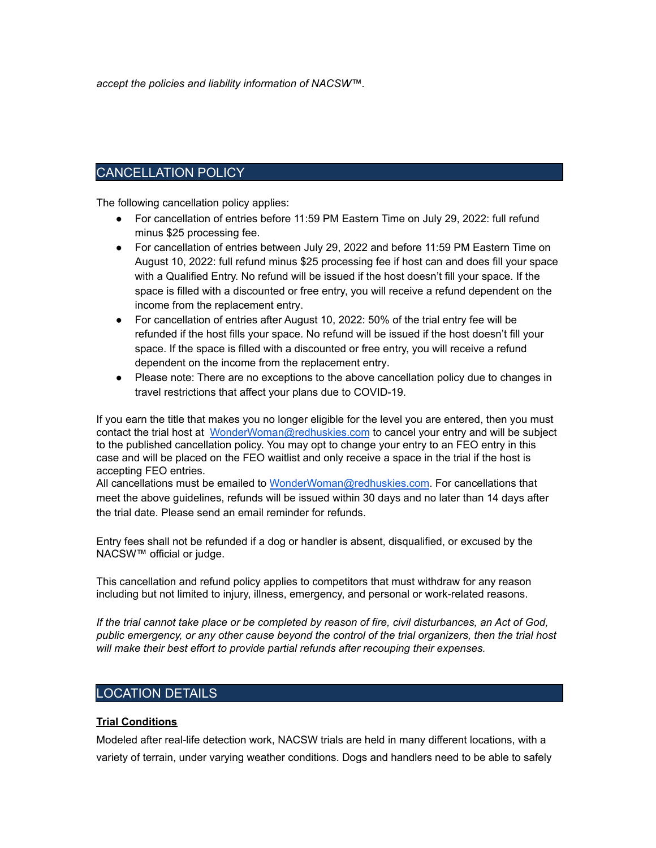*accept the policies and liability information of NACSW™.*

# CANCELLATION POLICY

The following cancellation policy applies:

- For cancellation of entries before 11:59 PM Eastern Time on July 29, 2022: full refund minus \$25 processing fee.
- For cancellation of entries between July 29, 2022 and before 11:59 PM Eastern Time on August 10, 2022: full refund minus \$25 processing fee if host can and does fill your space with a Qualified Entry. No refund will be issued if the host doesn't fill your space. If the space is filled with a discounted or free entry, you will receive a refund dependent on the income from the replacement entry.
- For cancellation of entries after August 10, 2022: 50% of the trial entry fee will be refunded if the host fills your space. No refund will be issued if the host doesn't fill your space. If the space is filled with a discounted or free entry, you will receive a refund dependent on the income from the replacement entry.
- Please note: There are no exceptions to the above cancellation policy due to changes in travel restrictions that affect your plans due to COVID-19.

If you earn the title that makes you no longer eligible for the level you are entered, then you must contact the trial host at [WonderWoman@redhuskies.com](mailto:WonderWoman@redhuskies.com) to cancel your entry and will be subject to the published cancellation policy. You may opt to change your entry to an FEO entry in this case and will be placed on the FEO waitlist and only receive a space in the trial if the host is accepting FEO entries.

All cancellations must be emailed to [WonderWoman@redhuskies.com.](mailto:WonderWoman@redhuskies.com) For cancellations that meet the above guidelines, refunds will be issued within 30 days and no later than 14 days after the trial date. Please send an email reminder for refunds.

Entry fees shall not be refunded if a dog or handler is absent, disqualified, or excused by the NACSW<sup>™</sup> official or judge.

This cancellation and refund policy applies to competitors that must withdraw for any reason including but not limited to injury, illness, emergency, and personal or work-related reasons.

If the trial cannot take place or be completed by reason of fire, civil disturbances, an Act of God, *public emergency, or any other cause beyond the control of the trial organizers, then the trial host will make their best effort to provide partial refunds after recouping their expenses.*

# LOCATION DETAILS

## **Trial Conditions**

Modeled after real-life detection work, NACSW trials are held in many different locations, with a variety of terrain, under varying weather conditions. Dogs and handlers need to be able to safely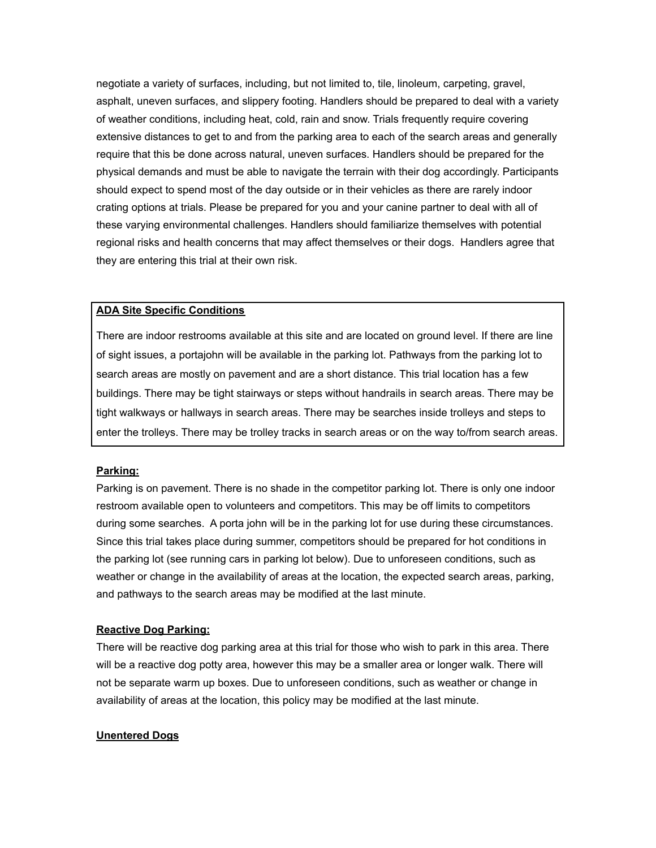negotiate a variety of surfaces, including, but not limited to, tile, linoleum, carpeting, gravel, asphalt, uneven surfaces, and slippery footing. Handlers should be prepared to deal with a variety of weather conditions, including heat, cold, rain and snow. Trials frequently require covering extensive distances to get to and from the parking area to each of the search areas and generally require that this be done across natural, uneven surfaces. Handlers should be prepared for the physical demands and must be able to navigate the terrain with their dog accordingly. Participants should expect to spend most of the day outside or in their vehicles as there are rarely indoor crating options at trials. Please be prepared for you and your canine partner to deal with all of these varying environmental challenges. Handlers should familiarize themselves with potential regional risks and health concerns that may affect themselves or their dogs. Handlers agree that they are entering this trial at their own risk.

#### **ADA Site Specific Conditions**

There are indoor restrooms available at this site and are located on ground level. If there are line of sight issues, a portajohn will be available in the parking lot. Pathways from the parking lot to search areas are mostly on pavement and are a short distance. This trial location has a few buildings. There may be tight stairways or steps without handrails in search areas. There may be tight walkways or hallways in search areas. There may be searches inside trolleys and steps to enter the trolleys. There may be trolley tracks in search areas or on the way to/from search areas.

#### **Parking:**

Parking is on pavement. There is no shade in the competitor parking lot. There is only one indoor restroom available open to volunteers and competitors. This may be off limits to competitors during some searches. A porta john will be in the parking lot for use during these circumstances. Since this trial takes place during summer, competitors should be prepared for hot conditions in the parking lot (see running cars in parking lot below). Due to unforeseen conditions, such as weather or change in the availability of areas at the location, the expected search areas, parking, and pathways to the search areas may be modified at the last minute.

#### **Reactive Dog Parking:**

There will be reactive dog parking area at this trial for those who wish to park in this area. There will be a reactive dog potty area, however this may be a smaller area or longer walk. There will not be separate warm up boxes. Due to unforeseen conditions, such as weather or change in availability of areas at the location, this policy may be modified at the last minute.

#### **Unentered Dogs**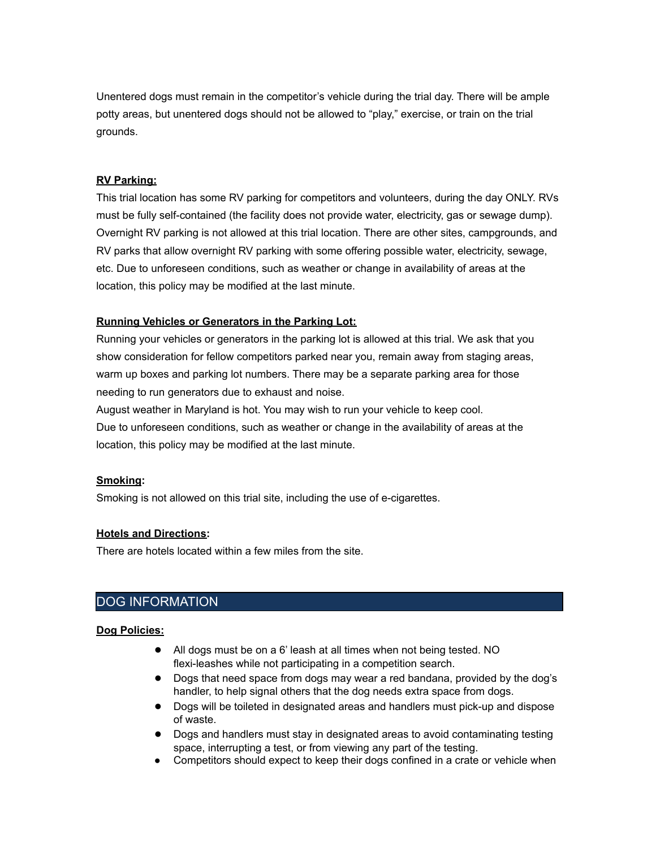Unentered dogs must remain in the competitor's vehicle during the trial day. There will be ample potty areas, but unentered dogs should not be allowed to "play," exercise, or train on the trial grounds.

# **RV Parking:**

This trial location has some RV parking for competitors and volunteers, during the day ONLY. RVs must be fully self-contained (the facility does not provide water, electricity, gas or sewage dump). Overnight RV parking is not allowed at this trial location. There are other sites, campgrounds, and RV parks that allow overnight RV parking with some offering possible water, electricity, sewage, etc. Due to unforeseen conditions, such as weather or change in availability of areas at the location, this policy may be modified at the last minute.

# **Running Vehicles or Generators in the Parking Lot:**

Running your vehicles or generators in the parking lot is allowed at this trial. We ask that you show consideration for fellow competitors parked near you, remain away from staging areas, warm up boxes and parking lot numbers. There may be a separate parking area for those needing to run generators due to exhaust and noise.

August weather in Maryland is hot. You may wish to run your vehicle to keep cool. Due to unforeseen conditions, such as weather or change in the availability of areas at the location, this policy may be modified at the last minute.

# **Smoking:**

Smoking is not allowed on this trial site, including the use of e-cigarettes.

# **Hotels and Directions:**

There are hotels located within a few miles from the site.

# DOG INFORMATION

## **Dog Policies:**

- All dogs must be on a 6' leash at all times when not being tested. NO flexi-leashes while not participating in a competition search.
- Dogs that need space from dogs may wear a red bandana, provided by the dog's handler, to help signal others that the dog needs extra space from dogs.
- Dogs will be toileted in designated areas and handlers must pick-up and dispose of waste.
- Dogs and handlers must stay in designated areas to avoid contaminating testing space, interrupting a test, or from viewing any part of the testing.
- Competitors should expect to keep their dogs confined in a crate or vehicle when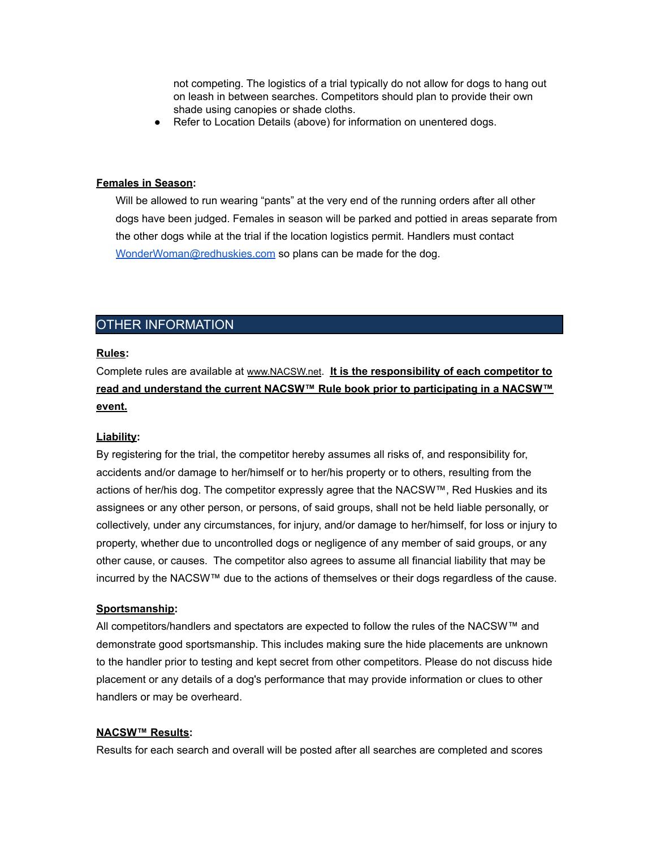not competing. The logistics of a trial typically do not allow for dogs to hang out on leash in between searches. Competitors should plan to provide their own shade using canopies or shade cloths.

● Refer to Location Details (above) for information on unentered dogs.

#### **Females in Season:**

Will be allowed to run wearing "pants" at the very end of the running orders after all other dogs have been judged. Females in season will be parked and pottied in areas separate from the other dogs while at the trial if the location logistics permit. Handlers must contact [WonderWoman@redhuskies.com](mailto:WonderWoman@redhuskies.com) so plans can be made for the dog.

# OTHER INFORMATION

## **Rules:**

Complete rules are available at [www.NACSW.net](http://www.nacsw.net). **It is the responsibility of each competitor to read and understand the current NACSW™ Rule book prior to participating in a NACSW™ event.**

#### **Liability:**

By registering for the trial, the competitor hereby assumes all risks of, and responsibility for, accidents and/or damage to her/himself or to her/his property or to others, resulting from the actions of her/his dog. The competitor expressly agree that the NACSW™, Red Huskies and its assignees or any other person, or persons, of said groups, shall not be held liable personally, or collectively, under any circumstances, for injury, and/or damage to her/himself, for loss or injury to property, whether due to uncontrolled dogs or negligence of any member of said groups, or any other cause, or causes. The competitor also agrees to assume all financial liability that may be incurred by the NACSW™ due to the actions of themselves or their dogs regardless of the cause.

#### **Sportsmanship:**

All competitors/handlers and spectators are expected to follow the rules of the NACSW™ and demonstrate good sportsmanship. This includes making sure the hide placements are unknown to the handler prior to testing and kept secret from other competitors. Please do not discuss hide placement or any details of a dog's performance that may provide information or clues to other handlers or may be overheard.

#### **NACSW™ Results:**

Results for each search and overall will be posted after all searches are completed and scores